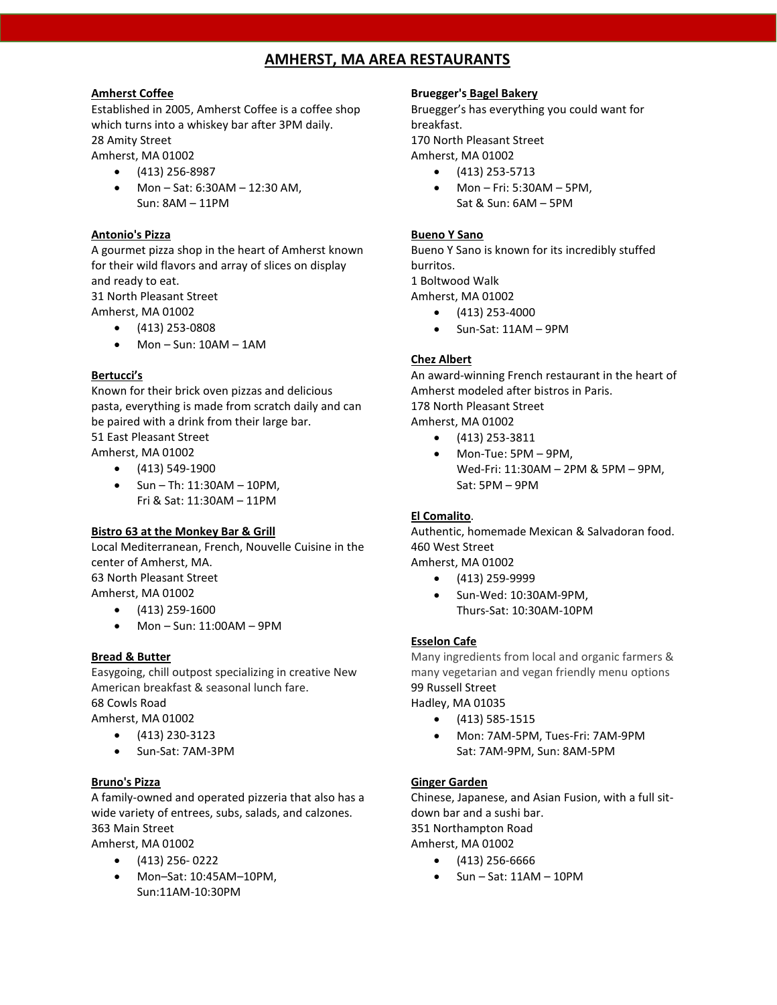# **AMHERST, MA AREA RESTAURANTS**

# **Amherst Coffee**

Established in 2005, Amherst Coffee is a coffee shop which turns into a whiskey bar after 3PM daily. 28 Amity Street

Amherst, MA 01002

- (413) 256-8987
- Mon Sat: 6:30AM 12:30 AM, Sun: 8AM – 11PM

### **Antonio's Pizza**

A gourmet pizza shop in the heart of Amherst known for their wild flavors and array of slices on display and ready to eat.

31 North Pleasant Street Amherst, MA 01002

- (413) 253-0808
- Mon Sun: 10AM 1AM

# **Bertucci's**

Known for their brick oven pizzas and delicious pasta, everything is made from scratch daily and can be paired with a drink from their large bar. 51 East Pleasant Street Amherst, MA 01002

- (413) 549-1900
- $\bullet$  Sun Th: 11:30AM 10PM, Fri & Sat: 11:30AM – 11PM

### **Bistro 63 at the Monkey Bar & Grill**

Local Mediterranean, French, Nouvelle Cuisine in the center of Amherst, MA. 63 North Pleasant Street Amherst, MA 01002

- $\bullet$  (413) 259-1600
- Mon Sun: 11:00AM 9PM

### **Bread & Butter**

Easygoing, chill outpost specializing in creative New American breakfast & seasonal lunch fare. 68 Cowls Road Amherst, MA 01002

- (413) 230-3123
	- Sun-Sat: 7AM-3PM

# **Bruno's Pizza**

A family-owned and operated pizzeria that also has a wide variety of entrees, subs, salads, and calzones. 363 Main Street

Amherst, MA 01002 • (413) 256- 0222

• Mon–Sat: 10:45AM–10PM, Sun:11AM-10:30PM

# **Bruegger's Bagel Bakery**

Bruegger's has everything you could want for breakfast.

170 North Pleasant Street Amherst, MA 01002

- (413) 253-5713
- Mon Fri: 5:30AM 5PM, Sat & Sun: 6AM – 5PM

# **Bueno Y Sano**

Bueno Y Sano is known for its incredibly stuffed burritos. 1 Boltwood Walk

Amherst, MA 01002

- $\bullet$  (413) 253-4000
- Sun-Sat: 11AM 9PM

# **Chez Albert**

An award-winning French restaurant in the heart of Amherst modeled after bistros in Paris. 178 North Pleasant Street Amherst, MA 01002

- (413) 253-3811
	- Mon-Tue: 5PM 9PM, Wed-Fri: 11:30AM – 2PM & 5PM – 9PM, Sat: 5PM – 9PM

# **El Comalito**.

Authentic, homemade Mexican & Salvadoran food. 460 West Street Amherst, MA 01002

- (413) 259-9999
- Sun-Wed: 10:30AM-9PM, Thurs-Sat: 10:30AM-10PM

### **Esselon Cafe**

Many ingredients from local and organic farmers & many vegetarian and vegan friendly menu options 99 Russell Street Hadley, MA 01035

- (413) 585-1515
- Mon: 7AM-5PM, Tues-Fri: 7AM-9PM Sat: 7AM-9PM, Sun: 8AM-5PM

### **Ginger Garden**

Chinese, Japanese, and Asian Fusion, with a full sitdown bar and a sushi bar. 351 Northampton Road Amherst, MA 01002

- (413) 256-6666
- $\bullet$  Sun Sat: 11AM 10PM